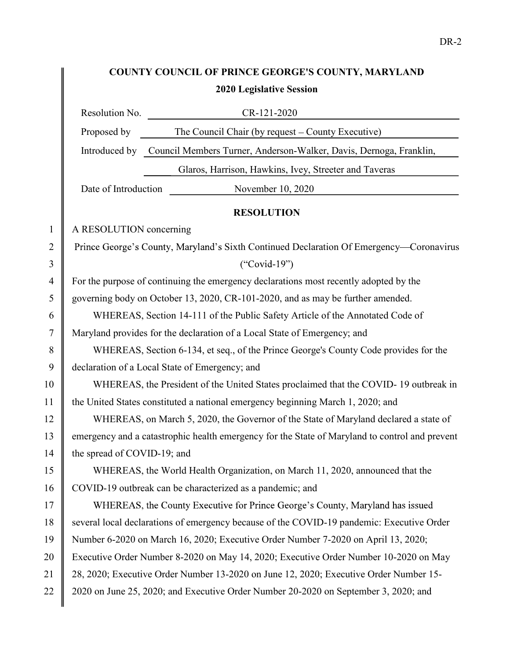## COUNTY COUNCIL OF PRINCE GEORGE'S COUNTY, MARYLAND 2020 Legislative Session

|              |                                                                                                | Resolution No.<br>CR-121-2020                                                             |
|--------------|------------------------------------------------------------------------------------------------|-------------------------------------------------------------------------------------------|
|              | Proposed by                                                                                    | The Council Chair (by request - County Executive)                                         |
|              |                                                                                                | Introduced by Council Members Turner, Anderson-Walker, Davis, Dernoga, Franklin,          |
|              |                                                                                                | Glaros, Harrison, Hawkins, Ivey, Streeter and Taveras                                     |
|              | Date of Introduction                                                                           | November 10, 2020                                                                         |
|              |                                                                                                | <b>RESOLUTION</b>                                                                         |
| $\mathbf{1}$ | A RESOLUTION concerning                                                                        |                                                                                           |
| 2            |                                                                                                | Prince George's County, Maryland's Sixth Continued Declaration Of Emergency-Coronavirus   |
| 3            |                                                                                                | $("Covid-19")$                                                                            |
| 4            | For the purpose of continuing the emergency declarations most recently adopted by the          |                                                                                           |
| 5            | governing body on October 13, 2020, CR-101-2020, and as may be further amended.                |                                                                                           |
| 6            | WHEREAS, Section 14-111 of the Public Safety Article of the Annotated Code of                  |                                                                                           |
| 7            | Maryland provides for the declaration of a Local State of Emergency; and                       |                                                                                           |
| 8            | WHEREAS, Section 6-134, et seq., of the Prince George's County Code provides for the           |                                                                                           |
| 9            | declaration of a Local State of Emergency; and                                                 |                                                                                           |
| 10           | WHEREAS, the President of the United States proclaimed that the COVID-19 outbreak in           |                                                                                           |
| 11           | the United States constituted a national emergency beginning March 1, 2020; and                |                                                                                           |
| 12           | WHEREAS, on March 5, 2020, the Governor of the State of Maryland declared a state of           |                                                                                           |
| 13           | emergency and a catastrophic health emergency for the State of Maryland to control and prevent |                                                                                           |
| 14           | the spread of COVID-19; and                                                                    |                                                                                           |
| 15           |                                                                                                | WHEREAS, the World Health Organization, on March 11, 2020, announced that the             |
| 16           | COVID-19 outbreak can be characterized as a pandemic; and                                      |                                                                                           |
| 17           |                                                                                                | WHEREAS, the County Executive for Prince George's County, Maryland has issued             |
| 18           |                                                                                                | several local declarations of emergency because of the COVID-19 pandemic: Executive Order |
| 19           |                                                                                                | Number 6-2020 on March 16, 2020; Executive Order Number 7-2020 on April 13, 2020;         |
| 20           |                                                                                                | Executive Order Number 8-2020 on May 14, 2020; Executive Order Number 10-2020 on May      |
| 21           | 28, 2020; Executive Order Number 13-2020 on June 12, 2020; Executive Order Number 15-          |                                                                                           |
| 22           |                                                                                                | 2020 on June 25, 2020; and Executive Order Number 20-2020 on September 3, 2020; and       |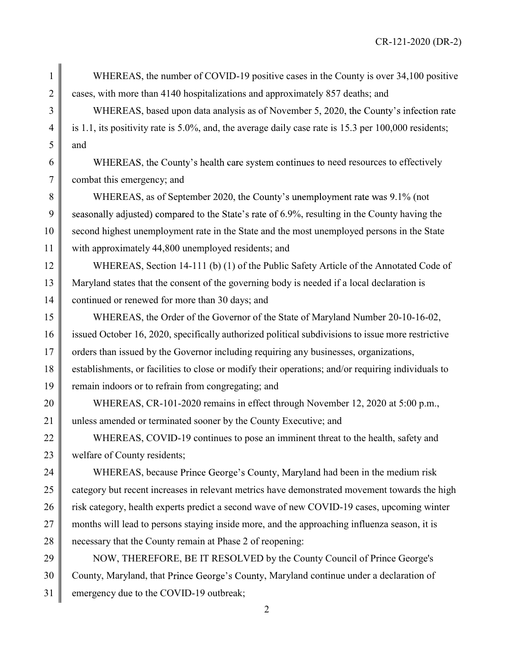1 WHEREAS, the number of COVID-19 positive cases in the County is over 34,100 positive 2 cases, with more than 4140 hospitalizations and approximately 857 deaths; and

3 WHEREAS, based upon data analysis as of November 5, 2020, the County's infection rate 4 is 1.1, its positivity rate is 5.0%, and, the average daily case rate is 15.3 per 100,000 residents;  $5$  and

 $6 \parallel$  WHEREAS, the County's health care system continues to need resources to effectively 7 combat this emergency; and

8 WHEREAS, as of September 2020, the County's unemployment rate was 9.1% (not 9 seasonally adjusted) compared to the State's rate of 6.9%, resulting in the County having the 10 second highest unemployment rate in the State and the most unemployed persons in the State 11 with approximately 44,800 unemployed residents; and

12 WHEREAS, Section 14-111 (b) (1) of the Public Safety Article of the Annotated Code of 13 Maryland states that the consent of the governing body is needed if a local declaration is 14 continued or renewed for more than 30 days; and

15 WHEREAS, the Order of the Governor of the State of Maryland Number 20-10-16-02, 16 issued October 16, 2020, specifically authorized political subdivisions to issue more restrictive 17 orders than issued by the Governor including requiring any businesses, organizations, 18 establishments, or facilities to close or modify their operations; and/or requiring individuals to 19 remain indoors or to refrain from congregating; and

20 WHEREAS, CR-101-2020 remains in effect through November 12, 2020 at 5:00 p.m., 21 unless amended or terminated sooner by the County Executive; and

22 WHEREAS, COVID-19 continues to pose an imminent threat to the health, safety and 23 welfare of County residents;

24 WHEREAS, because Prince George's County, Maryland had been in the medium risk 25 category but recent increases in relevant metrics have demonstrated movement towards the high 26 risk category, health experts predict a second wave of new COVID-19 cases, upcoming winter 27 months will lead to persons staying inside more, and the approaching influenza season, it is 28 merges 2 of recessary that the County remain at Phase 2 of reopening:

29 NOW, THEREFORE, BE IT RESOLVED by the County Council of Prince George's 30 County, Maryland, that Prince George's County, Maryland continue under a declaration of 31 emergency due to the COVID-19 outbreak;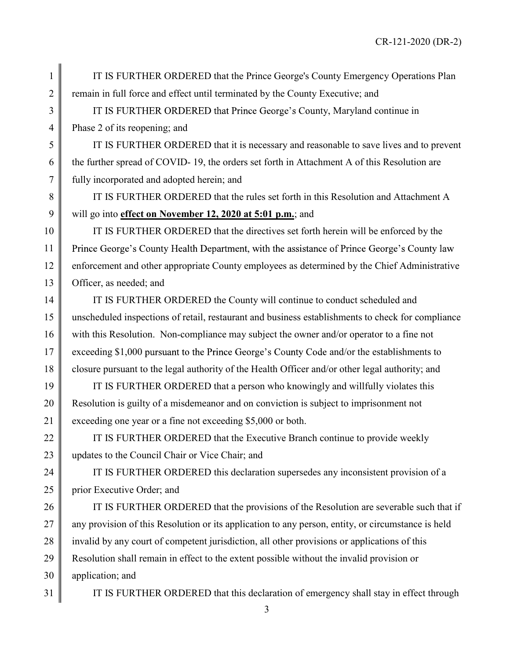CR-121-2020 (DR-2)

1 IT IS FURTHER ORDERED that the Prince George's County Emergency Operations Plan 2 m remain in full force and effect until terminated by the County Executive; and

3 T IS FURTHER ORDERED that Prince George's County, Maryland continue in 4 Phase 2 of its reopening; and

5 IT IS FURTHER ORDERED that it is necessary and reasonable to save lives and to prevent 6 the further spread of COVID- 19, the orders set forth in Attachment A of this Resolution are 7 fully incorporated and adopted herein; and

8 THE IS FURTHER ORDERED that the rules set forth in this Resolution and Attachment A 9 will go into effect on November 12, 2020 at 5:01 p.m.; and

10 IT IS FURTHER ORDERED that the directives set forth herein will be enforced by the 11 | Prince George's County Health Department, with the assistance of Prince George's County law 12 enforcement and other appropriate County employees as determined by the Chief Administrative 13 **Officer**, as needed; and

14 **IF IS FURTHER ORDERED** the County will continue to conduct scheduled and 15 unscheduled inspections of retail, restaurant and business establishments to check for compliance 16 with this Resolution. Non-compliance may subject the owner and/or operator to a fine not 17 exceeding \$1,000 pursuant to the Prince George's County Code and/or the establishments to 18 closure pursuant to the legal authority of the Health Officer and/or other legal authority; and

19 **IF IS FURTHER ORDERED** that a person who knowingly and willfully violates this 20 Resolution is guilty of a misdemeanor and on conviction is subject to imprisonment not 21 exceeding one year or a fine not exceeding \$5,000 or both.

22  $\parallel$  IT IS FURTHER ORDERED that the Executive Branch continue to provide weekly 23 Updates to the Council Chair or Vice Chair; and

24 TE IS FURTHER ORDERED this declaration supersedes any inconsistent provision of a 25 prior Executive Order; and

26 I IT IS FURTHER ORDERED that the provisions of the Resolution are severable such that if  $27 \parallel$  any provision of this Resolution or its application to any person, entity, or circumstance is held 28 invalid by any court of competent jurisdiction, all other provisions or applications of this 29 Resolution shall remain in effect to the extent possible without the invalid provision or 30 application; and

31 | IT IS FURTHER ORDERED that this declaration of emergency shall stay in effect through